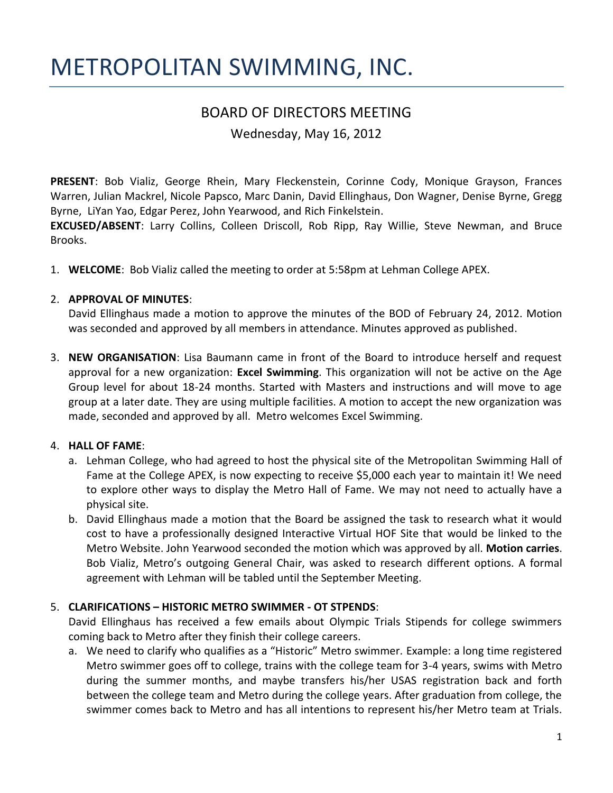# METROPOLITAN SWIMMING, INC.

## BOARD OF DIRECTORS MEETING

Wednesday, May 16, 2012

**PRESENT**: Bob Vializ, George Rhein, Mary Fleckenstein, Corinne Cody, Monique Grayson, Frances Warren, Julian Mackrel, Nicole Papsco, Marc Danin, David Ellinghaus, Don Wagner, Denise Byrne, Gregg Byrne, LiYan Yao, Edgar Perez, John Yearwood, and Rich Finkelstein.

**EXCUSED/ABSENT**: Larry Collins, Colleen Driscoll, Rob Ripp, Ray Willie, Steve Newman, and Bruce Brooks.

1. **WELCOME**: Bob Vializ called the meeting to order at 5:58pm at Lehman College APEX.

#### 2. **APPROVAL OF MINUTES**:

David Ellinghaus made a motion to approve the minutes of the BOD of February 24, 2012. Motion was seconded and approved by all members in attendance. Minutes approved as published.

3. **NEW ORGANISATION**: Lisa Baumann came in front of the Board to introduce herself and request approval for a new organization: **Excel Swimming**. This organization will not be active on the Age Group level for about 18-24 months. Started with Masters and instructions and will move to age group at a later date. They are using multiple facilities. A motion to accept the new organization was made, seconded and approved by all. Metro welcomes Excel Swimming.

#### 4. **HALL OF FAME**:

- a. Lehman College, who had agreed to host the physical site of the Metropolitan Swimming Hall of Fame at the College APEX, is now expecting to receive \$5,000 each year to maintain it! We need to explore other ways to display the Metro Hall of Fame. We may not need to actually have a physical site.
- b. David Ellinghaus made a motion that the Board be assigned the task to research what it would cost to have a professionally designed Interactive Virtual HOF Site that would be linked to the Metro Website. John Yearwood seconded the motion which was approved by all. **Motion carries**. Bob Vializ, Metro's outgoing General Chair, was asked to research different options. A formal agreement with Lehman will be tabled until the September Meeting.

#### 5. **CLARIFICATIONS – HISTORIC METRO SWIMMER - OT STPENDS**:

David Ellinghaus has received a few emails about Olympic Trials Stipends for college swimmers coming back to Metro after they finish their college careers.

a. We need to clarify who qualifies as a "Historic" Metro swimmer. Example: a long time registered Metro swimmer goes off to college, trains with the college team for 3-4 years, swims with Metro during the summer months, and maybe transfers his/her USAS registration back and forth between the college team and Metro during the college years. After graduation from college, the swimmer comes back to Metro and has all intentions to represent his/her Metro team at Trials.